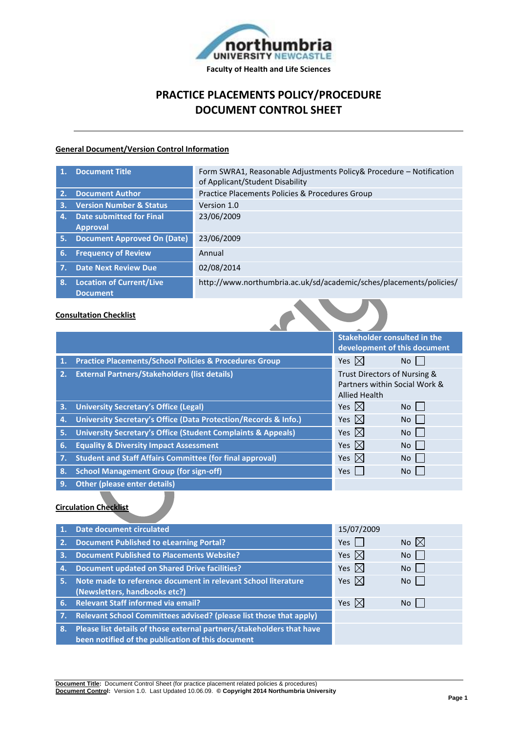

# **PRACTICE PLACEMENTS POLICY/PROCEDURE DOCUMENT CONTROL SHEET**

#### **General Document/Version Control Information**

| 1.           | <b>Document Title</b>                       | Form SWRA1, Reasonable Adjustments Policy& Procedure - Notification<br>of Applicant/Student Disability |
|--------------|---------------------------------------------|--------------------------------------------------------------------------------------------------------|
| 2.           | <b>Document Author</b>                      | Practice Placements Policies & Procedures Group                                                        |
| $\mathbf{3}$ | <b>Version Number &amp; Status</b>          | Version 1.0                                                                                            |
| 4.           | <b>Date submitted for Final</b>             | 23/06/2009                                                                                             |
|              | <b>Approval</b>                             |                                                                                                        |
| 5.           | <b>Document Approved On (Date)</b>          | 23/06/2009                                                                                             |
| 6.           | <b>Frequency of Review</b>                  | Annual                                                                                                 |
| 7.           | <b>Date Next Review Due</b>                 | 02/08/2014                                                                                             |
| 8.           | <b>Location of Current/Live</b><br>Document | http://www.northumbria.ac.uk/sd/academic/sches/placements/policies/                                    |

 $\sim$ 

### **Consultation Checklist**

|    |                                                                         | <b>Stakeholder consulted in the</b><br>development of this document                   |                 |
|----|-------------------------------------------------------------------------|---------------------------------------------------------------------------------------|-----------------|
| 1. | <b>Practice Placements/School Policies &amp; Procedures Group</b>       | Yes $\boxtimes$                                                                       | No              |
| 2. | <b>External Partners/Stakeholders (list details)</b>                    | Trust Directors of Nursing &<br>Partners within Social Work &<br><b>Allied Health</b> |                 |
| 3. | <b>University Secretary's Office (Legal)</b>                            | Yes $\mathbb{X}$                                                                      | No I            |
| 4. | University Secretary's Office (Data Protection/Records & Info.)         | Yes $\mathbb{X}$                                                                      | No l            |
| 5. | <b>University Secretary's Office (Student Complaints &amp; Appeals)</b> | Yes $\boxtimes$                                                                       | <b>No</b>       |
| 6. | <b>Equality &amp; Diversity Impact Assessment</b>                       | Yes $\boxtimes$                                                                       | No <sub>1</sub> |
| 7. | <b>Student and Staff Affairs Committee (for final approval)</b>         | Yes $\boxtimes$                                                                       | No I            |
| 8. | <b>School Management Group (for sign-off)</b>                           | <b>Yes</b>                                                                            | No <sub>1</sub> |
| 9. | <b>Other (please enter details)</b>                                     |                                                                                       |                 |
|    |                                                                         |                                                                                       |                 |

### **Circulation Checklist**

|    | Date document circulated                                              | 15/07/2009      |                |
|----|-----------------------------------------------------------------------|-----------------|----------------|
| 2. | <b>Document Published to eLearning Portal?</b>                        | Yes $\vert$     | No $\boxtimes$ |
| 3. | <b>Document Published to Placements Website?</b>                      | Yes $ \times $  | No.            |
| 4. | <b>Document updated on Shared Drive facilities?</b>                   | Yes $\boxtimes$ | No             |
| 5. | Note made to reference document in relevant School literature         | Yes $\boxtimes$ | No I           |
|    | (Newsletters, handbooks etc?)                                         |                 |                |
|    | 6. Relevant Staff informed via email?                                 | Yes $\boxtimes$ | No.            |
|    | Relevant School Committees advised? (please list those that apply)    |                 |                |
| 8. | Please list details of those external partners/stakeholders that have |                 |                |
|    | been notified of the publication of this document                     |                 |                |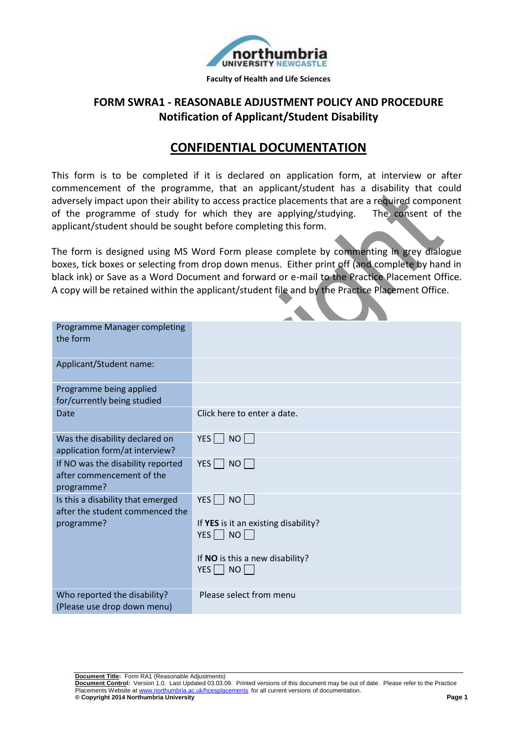

## **FORM SWRA1 - REASONABLE ADJUSTMENT POLICY AND PROCEDURE Notification of Applicant/Student Disability**

# **CONFIDENTIAL DOCUMENTATION**

This form is to be completed if it is declared on application form, at interview or after commencement of the programme, that an applicant/student has a disability that could adversely impact upon their ability to access practice placements that are a required component of the programme of study for which they are applying/studying. The consent of the applicant/student should be sought before completing this form.

The form is designed using MS Word Form please complete by commenting in grey dialogue boxes, tick boxes or selecting from drop down menus. Either print off (and complete by hand in black ink) or Save as a Word Document and forward or e-mail to the Practice Placement Office. A copy will be retained within the applicant/student file and by the Practice Placement Office.

| Programme Manager completing<br>the form                                           |                                                                                                                         |
|------------------------------------------------------------------------------------|-------------------------------------------------------------------------------------------------------------------------|
| Applicant/Student name:                                                            |                                                                                                                         |
| Programme being applied<br>for/currently being studied                             |                                                                                                                         |
| Date                                                                               | Click here to enter a date.                                                                                             |
| Was the disability declared on<br>application form/at interview?                   | $NO$    <br>$YES$                                                                                                       |
| If NO was the disability reported<br>after commencement of the<br>programme?       | $YES$    <br>$NO$                                                                                                       |
| Is this a disability that emerged<br>after the student commenced the<br>programme? | $YES$  <br>$NO$    <br>If YES is it an existing disability?<br>$YES$ NO<br>If NO is this a new disability?<br>NO<br>YES |
| Who reported the disability?<br>(Please use drop down menu)                        | Please select from menu                                                                                                 |

**Document Title:** Form RA1 (Reasonable Adjustments)

**Document Control:** Version 1.0. Last Updated 03.03.09. Printed versions of this document may be out of date. Please refer to the Practice Placements Website at www.northumbria.ac.uk/hcesplacements for all current versions .ac.uk/hcesplacements for all current versions of documentation. **© Copyright 2014 Northumbria University Page 1**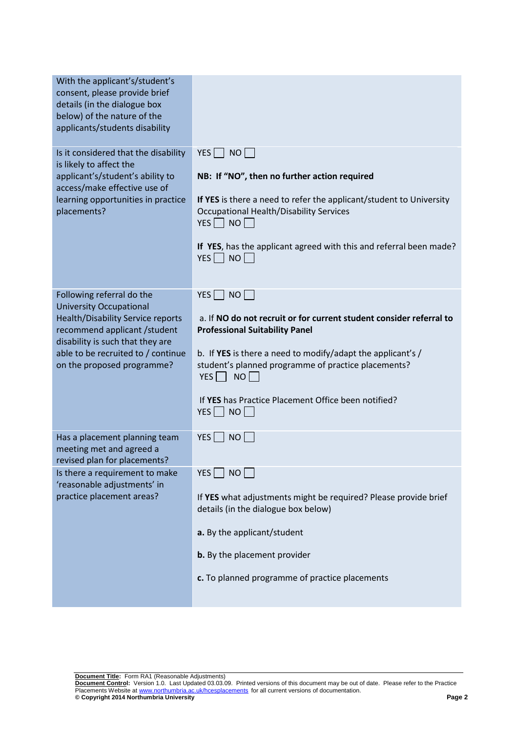| With the applicant's/student's<br>consent, please provide brief<br>details (in the dialogue box<br>below) of the nature of the<br>applicants/students disability                                                    |                                                                                                                                                                                                                                                                                                                        |
|---------------------------------------------------------------------------------------------------------------------------------------------------------------------------------------------------------------------|------------------------------------------------------------------------------------------------------------------------------------------------------------------------------------------------------------------------------------------------------------------------------------------------------------------------|
| Is it considered that the disability<br>is likely to affect the<br>applicant's/student's ability to<br>access/make effective use of<br>learning opportunities in practice<br>placements?                            | YES   NO    <br>NB: If "NO", then no further action required<br>If YES is there a need to refer the applicant/student to University<br><b>Occupational Health/Disability Services</b><br>$YES \mid NO$<br>If YES, has the applicant agreed with this and referral been made?<br>$YES$ NO                               |
| Following referral do the                                                                                                                                                                                           | NO<br>YES                                                                                                                                                                                                                                                                                                              |
| <b>University Occupational</b><br><b>Health/Disability Service reports</b><br>recommend applicant / student<br>disability is such that they are<br>able to be recruited to / continue<br>on the proposed programme? | a. If NO do not recruit or for current student consider referral to<br><b>Professional Suitability Panel</b><br>b. If YES is there a need to modify/adapt the applicant's /<br>student's planned programme of practice placements?<br>NO<br>YES    <br>If YES has Practice Placement Office been notified?<br>YES   NO |
| Has a placement planning team<br>meeting met and agreed a<br>revised plan for placements?                                                                                                                           | YES  <br><b>NO</b>                                                                                                                                                                                                                                                                                                     |
| Is there a requirement to make<br>'reasonable adjustments' in                                                                                                                                                       | <b>NO</b><br>YES                                                                                                                                                                                                                                                                                                       |
| practice placement areas?                                                                                                                                                                                           | If YES what adjustments might be required? Please provide brief<br>details (in the dialogue box below)                                                                                                                                                                                                                 |
|                                                                                                                                                                                                                     | a. By the applicant/student                                                                                                                                                                                                                                                                                            |
|                                                                                                                                                                                                                     | b. By the placement provider                                                                                                                                                                                                                                                                                           |
|                                                                                                                                                                                                                     | c. To planned programme of practice placements                                                                                                                                                                                                                                                                         |

**Document Title:** Form RA1 (Reasonable Adjustments)

**Document Control:** Version 1.0. Last Updated 03.03.09. Printed versions of this document may be out of date. Please refer to the Practice Placements Website at www.northumbria.ac.uk/hcesplacements for all current versions of documentation. **© Copyright 2014 Northumbria University Page 2**